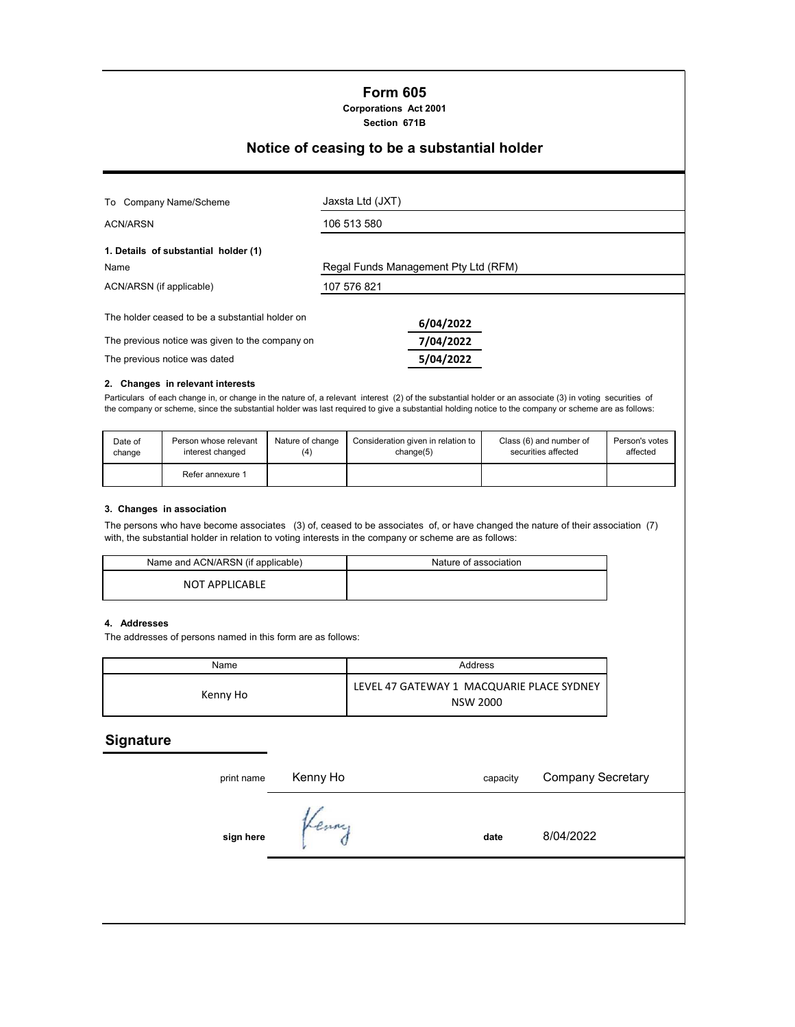# **Form 605**

**Corporations Act 2001 Section 671B**

## **Notice of ceasing to be a substantial holder**

| To Company Name/Scheme                                                                             | Jaxsta Ltd (JXT)                     |  |  |
|----------------------------------------------------------------------------------------------------|--------------------------------------|--|--|
| <b>ACN/ARSN</b>                                                                                    | 106 513 580                          |  |  |
| 1. Details of substantial holder (1)<br>Name                                                       | Regal Funds Management Pty Ltd (RFM) |  |  |
| ACN/ARSN (if applicable)                                                                           | 107 576 821                          |  |  |
| The holder ceased to be a substantial holder on<br>The previous notice was given to the company on | 6/04/2022<br>7/04/2022               |  |  |
| The previous notice was dated                                                                      | 5/04/2022                            |  |  |

### **2. Changes in relevant interests**

Particulars of each change in, or change in the nature of, a relevant interest (2) of the substantial holder or an associate (3) in voting securities of the company or scheme, since the substantial holder was last required to give a substantial holding notice to the company or scheme are as follows:

| Date of | Person whose relevant | Nature of change | Consideration given in relation to | Class (6) and number of | Person's votes |
|---------|-----------------------|------------------|------------------------------------|-------------------------|----------------|
| change  | interest changed      | (4)              | change(5)                          | securities affected     | affected       |
|         | Refer annexure 1      |                  |                                    |                         |                |

#### **3. Changes in association**

The persons who have become associates (3) of, ceased to be associates of, or have changed the nature of their association (7) with, the substantial holder in relation to voting interests in the company or scheme are as follows:

| Name and ACN/ARSN (if applicable) | Nature of association |
|-----------------------------------|-----------------------|
| <b>NOT APPLICABLE</b>             |                       |

#### **4. Addresses**

The addresses of persons named in this form are as follows:

| Name     | Address                                                      |  |  |
|----------|--------------------------------------------------------------|--|--|
| Kenny Ho | LEVEL 47 GATEWAY 1 MACQUARIE PLACE SYDNEY<br><b>NSW 2000</b> |  |  |

## **Signature**

| print name | Kenny Ho | capacity | <b>Company Secretary</b> |
|------------|----------|----------|--------------------------|
| sign here  | Kenny    | date     | 8/04/2022                |
|            |          |          |                          |